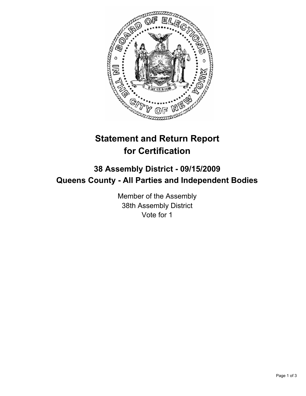

# **Statement and Return Report for Certification**

## **38 Assembly District - 09/15/2009 Queens County - All Parties and Independent Bodies**

Member of the Assembly 38th Assembly District Vote for 1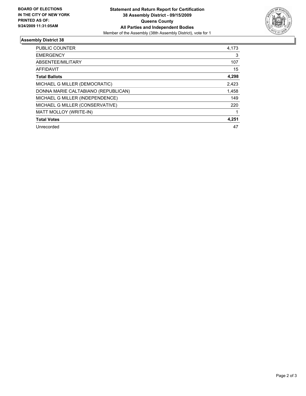

### **Assembly District 38**

| <b>PUBLIC COUNTER</b>               | 4,173 |
|-------------------------------------|-------|
| <b>EMERGENCY</b>                    | 3     |
| ABSENTEE/MILITARY                   | 107   |
| <b>AFFIDAVIT</b>                    | 15    |
| <b>Total Ballots</b>                | 4,298 |
| MICHAEL G MILLER (DEMOCRATIC)       | 2,423 |
| DONNA MARIE CALTABIANO (REPUBLICAN) | 1,458 |
| MICHAEL G MILLER (INDEPENDENCE)     | 149   |
| MICHAEL G MILLER (CONSERVATIVE)     | 220   |
| MATT MOLLOY (WRITE-IN)              |       |
| <b>Total Votes</b>                  | 4,251 |
| Unrecorded                          | 47    |